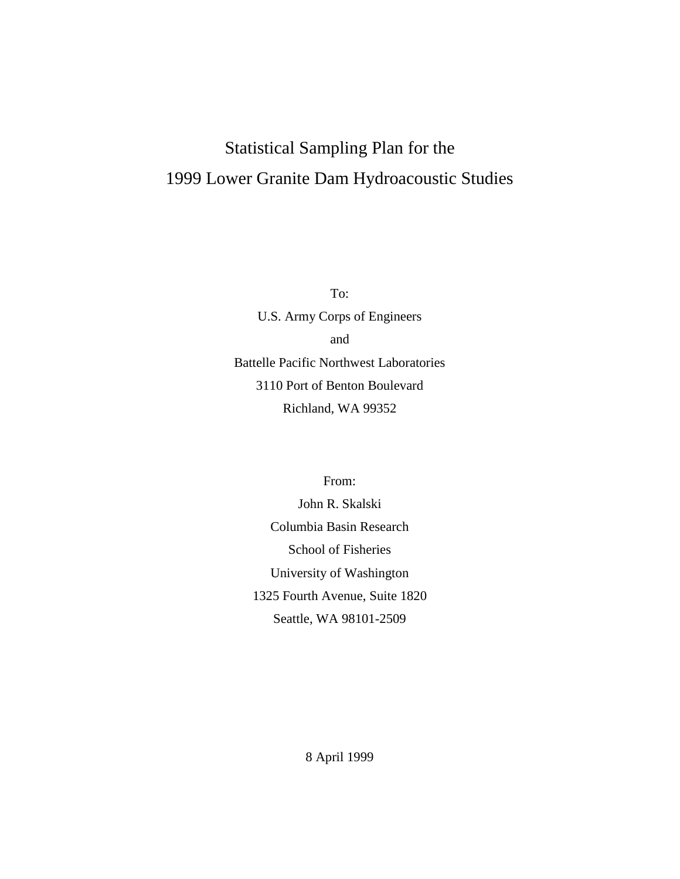# Statistical Sampling Plan for the 1999 Lower Granite Dam Hydroacoustic Studies

To: U.S. Army Corps of Engineers and Battelle Pacific Northwest Laboratories 3110 Port of Benton Boulevard Richland, WA 99352

From:

John R. Skalski Columbia Basin Research School of Fisheries University of Washington 1325 Fourth Avenue, Suite 1820 Seattle, WA 98101-2509

8 April 1999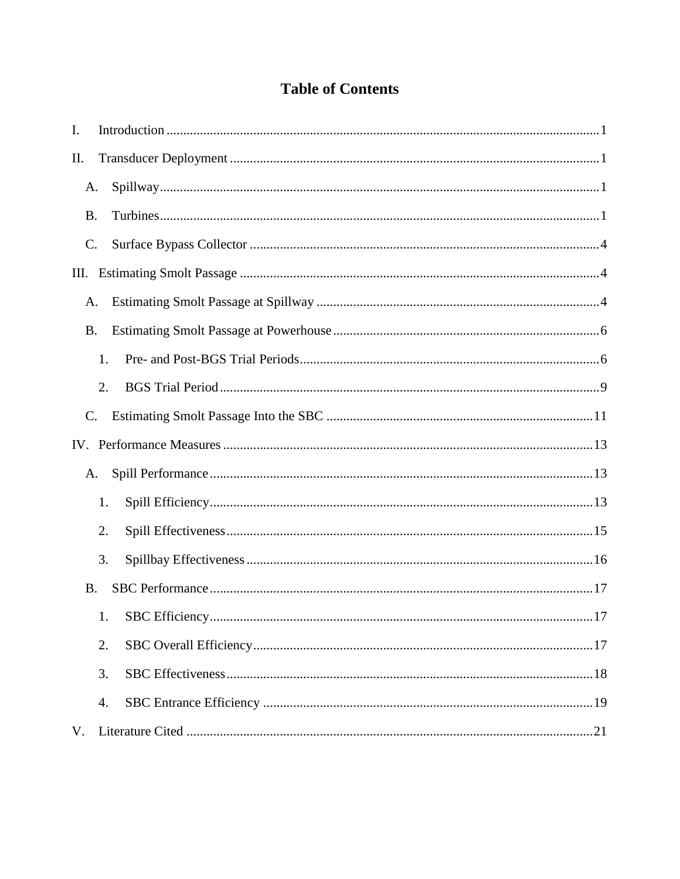# **Table of Contents**

| I.             |    |      |
|----------------|----|------|
| П.             |    |      |
| A.             |    |      |
| <b>B.</b>      |    |      |
| $\mathbf{C}$ . |    |      |
|                |    |      |
| A.             |    |      |
| <b>B.</b>      |    |      |
|                | 1. |      |
|                | 2. |      |
| C.             |    |      |
|                |    |      |
| A.             |    |      |
|                | 1. |      |
|                | 2. |      |
|                | 3. |      |
| <b>B.</b>      |    |      |
|                |    | . 17 |
|                | 2. |      |
|                | 3. |      |
|                | 4. |      |
| V.             |    |      |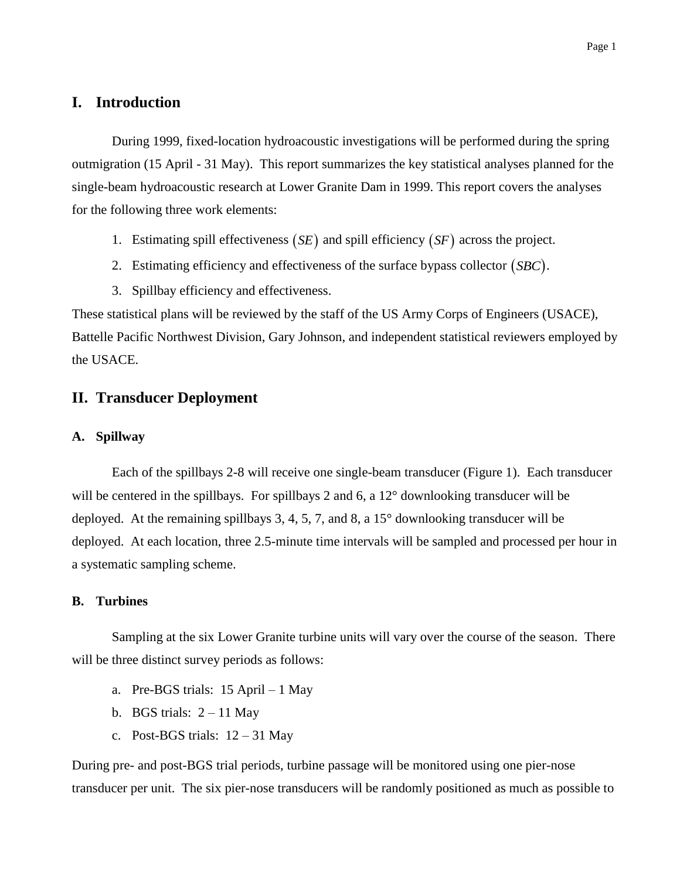# **I. Introduction**

During 1999, fixed-location hydroacoustic investigations will be performed during the spring outmigration (15 April - 31 May). This report summarizes the key statistical analyses planned for the single-beam hydroacoustic research at Lower Granite Dam in 1999. This report covers the analyses for the following three work elements:

- 1. Estimating spill effectiveness  $(SE)$  and spill efficiency  $(SF)$  across the project.
- 2. Estimating efficiency and effectiveness of the surface bypass collector *SBC*.
- 3. Spillbay efficiency and effectiveness.

These statistical plans will be reviewed by the staff of the US Army Corps of Engineers (USACE), Battelle Pacific Northwest Division, Gary Johnson, and independent statistical reviewers employed by the USACE.

# **II. Transducer Deployment**

#### **A. Spillway**

Each of the spillbays 2-8 will receive one single-beam transducer (Figure 1). Each transducer will be centered in the spillbays. For spillbays 2 and 6, a 12° downlooking transducer will be deployed. At the remaining spillbays 3, 4, 5, 7, and 8, a 15° downlooking transducer will be deployed. At each location, three 2.5-minute time intervals will be sampled and processed per hour in a systematic sampling scheme.

#### **B. Turbines**

Sampling at the six Lower Granite turbine units will vary over the course of the season. There will be three distinct survey periods as follows:

- a. Pre-BGS trials: 15 April 1 May
- b. BGS trials:  $2 11$  May
- c. Post-BGS trials:  $12 31$  May

During pre- and post-BGS trial periods, turbine passage will be monitored using one pier-nose transducer per unit. The six pier-nose transducers will be randomly positioned as much as possible to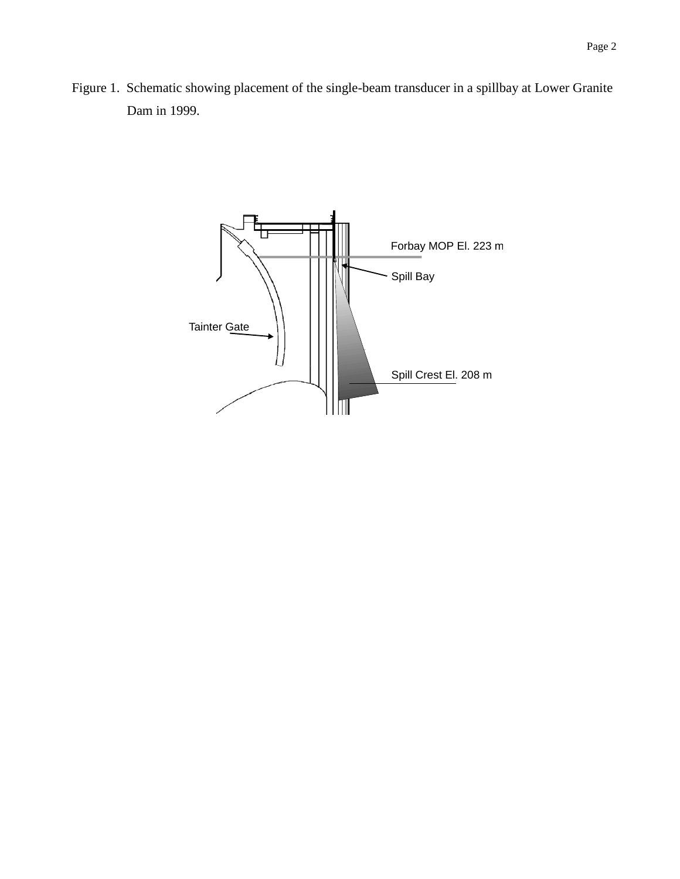Figure 1. Schematic showing placement of the single-beam transducer in a spillbay at Lower Granite Dam in 1999.

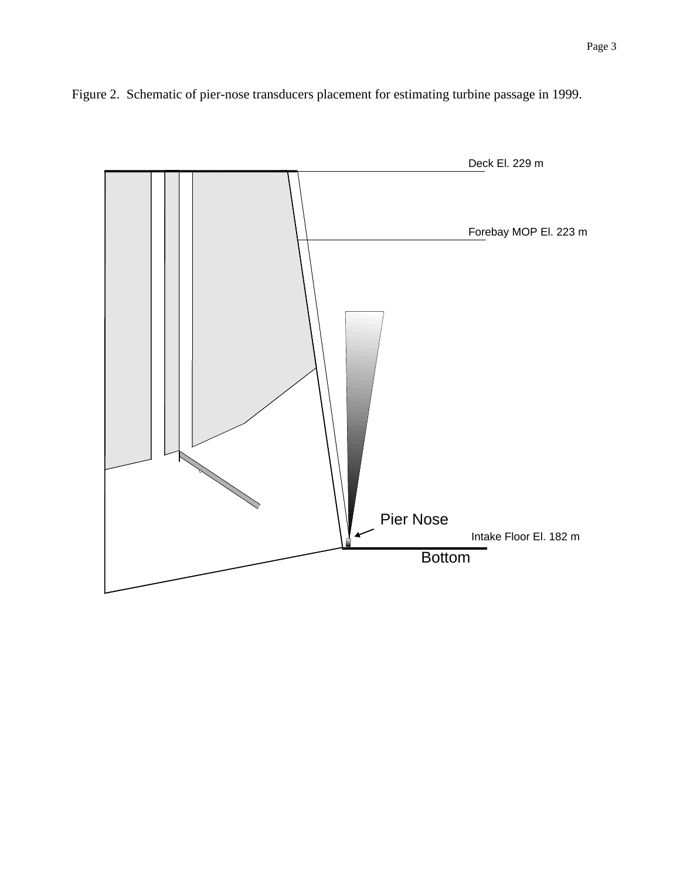

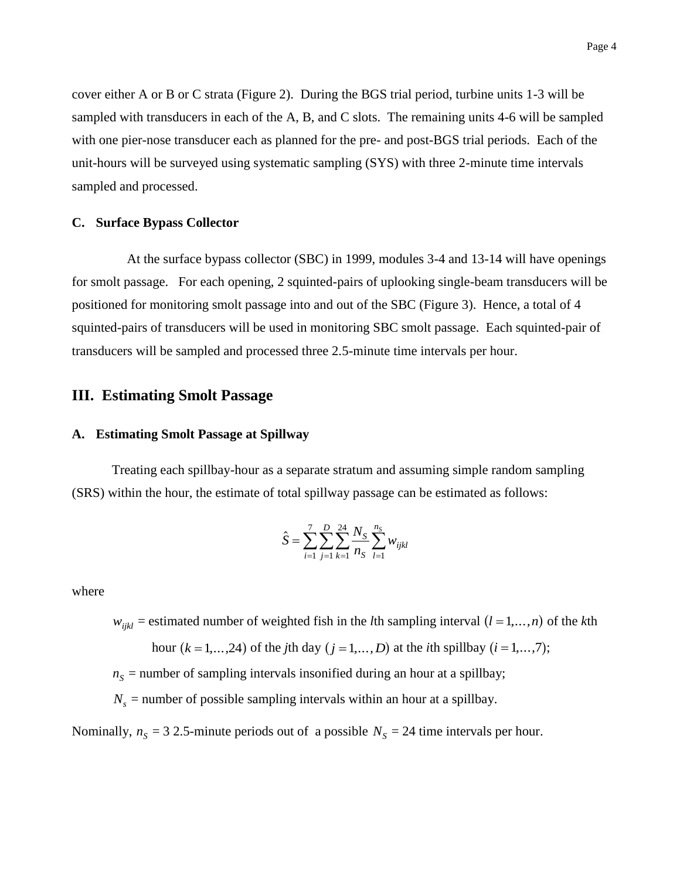cover either A or B or C strata (Figure 2). During the BGS trial period, turbine units 1-3 will be sampled with transducers in each of the A, B, and C slots. The remaining units 4-6 will be sampled

with one pier-nose transducer each as planned for the pre- and post-BGS trial periods. Each of the unit-hours will be surveyed using systematic sampling (SYS) with three 2-minute time intervals sampled and processed.

#### **C. Surface Bypass Collector**

At the surface bypass collector (SBC) in 1999, modules 3-4 and 13-14 will have openings for smolt passage. For each opening, 2 squinted-pairs of uplooking single-beam transducers will be positioned for monitoring smolt passage into and out of the SBC (Figure 3). Hence, a total of 4 squinted-pairs of transducers will be used in monitoring SBC smolt passage. Each squinted-pair of transducers will be sampled and processed three 2.5-minute time intervals per hour.

## **III. Estimating Smolt Passage**

#### **A. Estimating Smolt Passage at Spillway**

Treating each spillbay-hour as a separate stratum and assuming simple random sampling (SRS) within the hour, the estimate of total spillway passage can be estimated as follows:

$$
\hat{S} = \sum_{i=1}^{7} \sum_{j=1}^{D} \sum_{k=1}^{24} \frac{N_S}{n_S} \sum_{l=1}^{n_S} w_{ijkl}
$$

where

 $w_{ijkl}$  = estimated number of weighted fish in the *l*th sampling interval  $(l = 1, ..., n)$  of the *k*th hour  $(k = 1, ..., 24)$  of the *j*th day  $(j = 1, ..., D)$  at the *i*th spillbay  $(i = 1, ..., 7)$ ;

 $n<sub>S</sub>$  = number of sampling intervals insonified during an hour at a spillbay;

 $N_s$  = number of possible sampling intervals within an hour at a spillbay.

Nominally,  $n<sub>S</sub> = 32.5$ -minute periods out of a possible  $N<sub>S</sub> = 24$  time intervals per hour.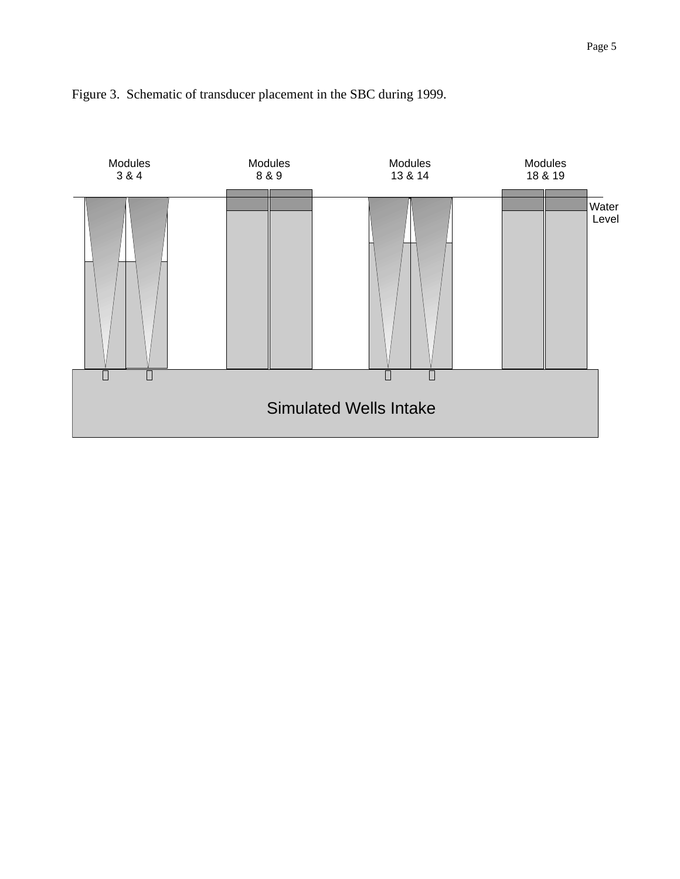

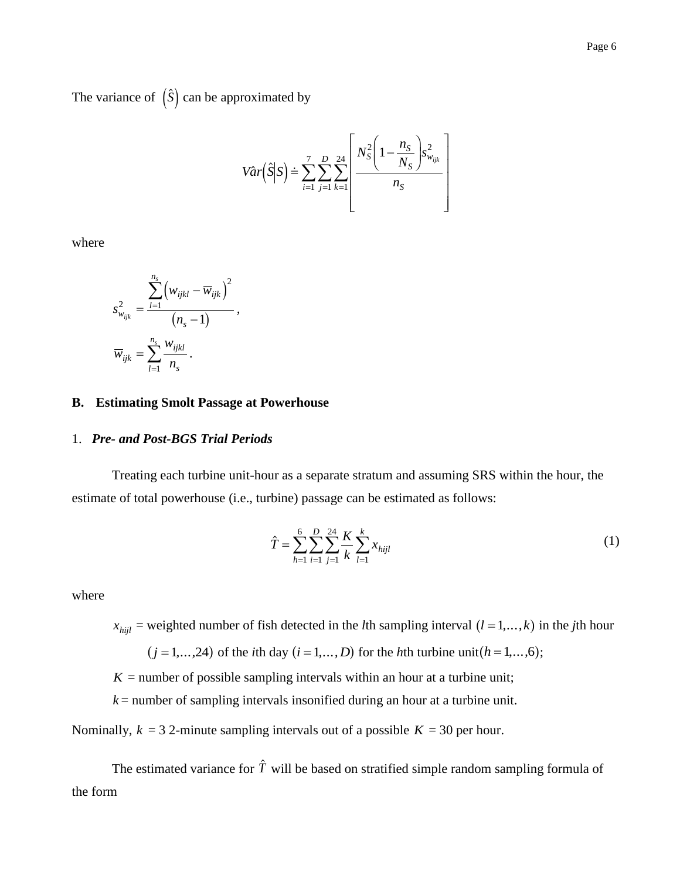The variance of  $(\hat{S})$  can be approximated by

$$
Var(S|S) = \sum_{i=1}^{7} \sum_{j=1}^{D} \sum_{k=1}^{24} \left[ \frac{N_S^2 \left(1 - \frac{n_S}{N_S}\right) s_{w_{ijk}}^2}{n_S} \right]
$$

where

$$
s_{w_{ijk}}^2 = \frac{\displaystyle\sum_{l=1}^{n_s} \left(w_{ijkl} - \overline{w}_{ijk}\right)^2}{\left(n_s - 1\right)},
$$
  

$$
\overline{w}_{ijk} = \sum_{l=1}^{n_s} \frac{w_{ijkl}}{n_s}.
$$

#### **B. Estimating Smolt Passage at Powerhouse**

#### 1. *Pre- and Post-BGS Trial Periods*

Treating each turbine unit-hour as a separate stratum and assuming SRS within the hour, the estimate of total powerhouse (i.e., turbine) passage can be estimated as follows:

$$
\hat{T} = \sum_{h=1}^{6} \sum_{i=1}^{D} \sum_{j=1}^{24} \frac{K}{k} \sum_{l=1}^{k} x_{hijl}
$$
\n(1)

where

 $x_{hijl}$  = weighted number of fish detected in the *l*th sampling interval  $(l = 1, ..., k)$  in the *j*th hour

 $(j = 1, ..., 24)$  of the *i*th day  $(i = 1, ..., D)$  for the *h*th turbine unit $(h = 1, ..., 6)$ ;

 $K =$  number of possible sampling intervals within an hour at a turbine unit;

*k* = number of sampling intervals insonified during an hour at a turbine unit.

Nominally,  $k = 3$  2-minute sampling intervals out of a possible  $K = 30$  per hour.

The estimated variance for  $\hat{T}$  will be based on stratified simple random sampling formula of the form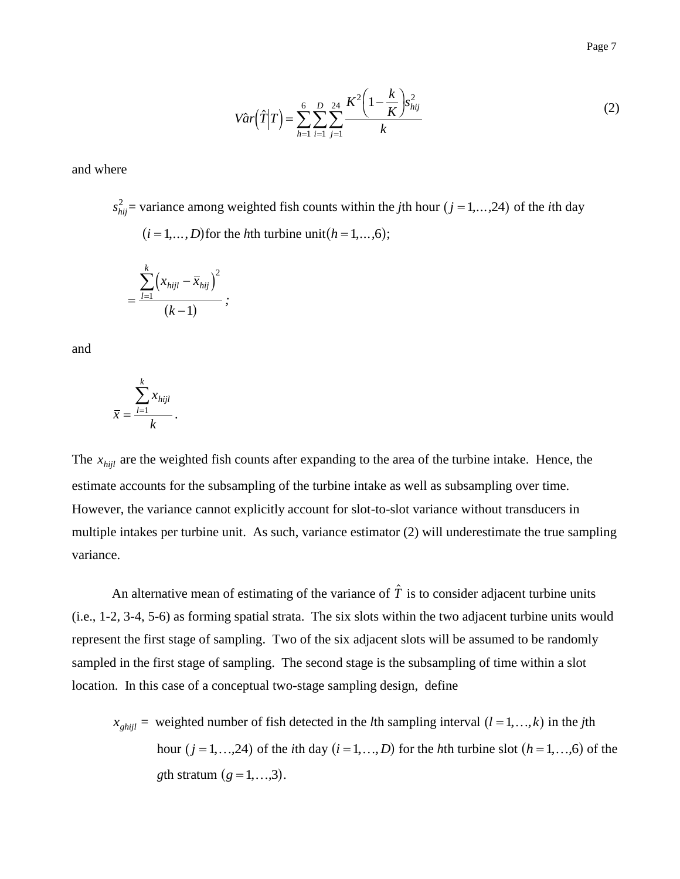$$
Var(\hat{T}|T) = \sum_{h=1}^{6} \sum_{i=1}^{D} \sum_{j=1}^{24} \frac{K^2 \left(1 - \frac{k}{K}\right) s_{hij}^2}{k}
$$
(2)

and where

 $s_{hij}^2$  = variance among weighted fish counts within the *j*th hour (*j* = 1,...,24) of the *i*th day  $(i = 1, ..., D)$  for the *h*th turbine unit  $(h = 1, ..., 6)$ ;

$$
=\frac{\sum_{l=1}^{k}(x_{hijl}-\bar{x}_{hij})^{2}}{(k-1)};
$$

and

$$
\bar{x} = \frac{\sum_{l=1}^{k} x_{hijl}}{k}.
$$

The  $x_{hijl}$  are the weighted fish counts after expanding to the area of the turbine intake. Hence, the estimate accounts for the subsampling of the turbine intake as well as subsampling over time. However, the variance cannot explicitly account for slot-to-slot variance without transducers in multiple intakes per turbine unit. As such, variance estimator (2) will underestimate the true sampling variance.

An alternative mean of estimating of the variance of  $\hat{T}$  is to consider adjacent turbine units (i.e., 1-2, 3-4, 5-6) as forming spatial strata. The six slots within the two adjacent turbine units would represent the first stage of sampling. Two of the six adjacent slots will be assumed to be randomly sampled in the first stage of sampling. The second stage is the subsampling of time within a slot location. In this case of a conceptual two-stage sampling design, define

 $x_{\text{ghijl}}$  = weighted number of fish detected in the *l*th sampling interval  $(l = 1, ..., k)$  in the *j*th hour  $(j = 1, ..., 24)$  of the *i*th day  $(i = 1, ..., D)$  for the *h*th turbine slot  $(h = 1, ..., 6)$  of the *g*th stratum  $(g = 1, ..., 3)$ .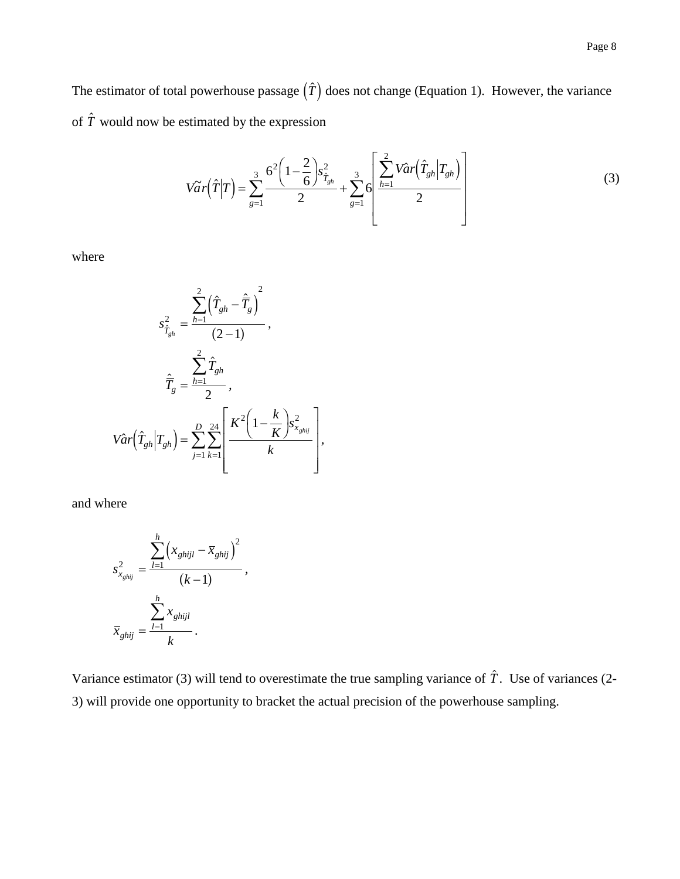$$
V\tilde{a}\,r\left(\hat{T}|T\right) = \sum_{g=1}^{3} \frac{6^{2}\left(1-\frac{2}{6}\right)s_{\hat{T}_{gh}}^{2}}{2} + \sum_{g=1}^{3} 6\left[\frac{\sum_{h=1}^{2} Var\left(\hat{T}_{gh}|T_{gh}\right)}{2}\right]
$$
(3)

where

$$
s_{\hat{T}_{gh}}^2 = \frac{\sum_{h=1}^2 (\hat{T}_{gh} - \hat{\overline{T}}_g)^2}{(2-1)},
$$

$$
\hat{\overline{T}}_g = \frac{\sum_{h=1}^2 \hat{T}_{gh}}{2},
$$

$$
Var(\hat{T}_{gh} | T_{gh}) = \sum_{j=1}^D \sum_{k=1}^{24} \left[ \frac{K^2 (1 - \frac{k}{K}) s_{x_{ghij}}^2}{k} \right],
$$

and where

$$
s_{x_{ghij}}^2 = \frac{\sum_{l=1}^h (x_{ghijl} - \overline{x}_{ghij})^2}{(k-1)},
$$

$$
\overline{x}_{ghij} = \frac{\sum_{l=1}^h x_{ghijl}}{k}.
$$

Variance estimator (3) will tend to overestimate the true sampling variance of  $\hat{T}$ . Use of variances (2-3) will provide one opportunity to bracket the actual precision of the powerhouse sampling.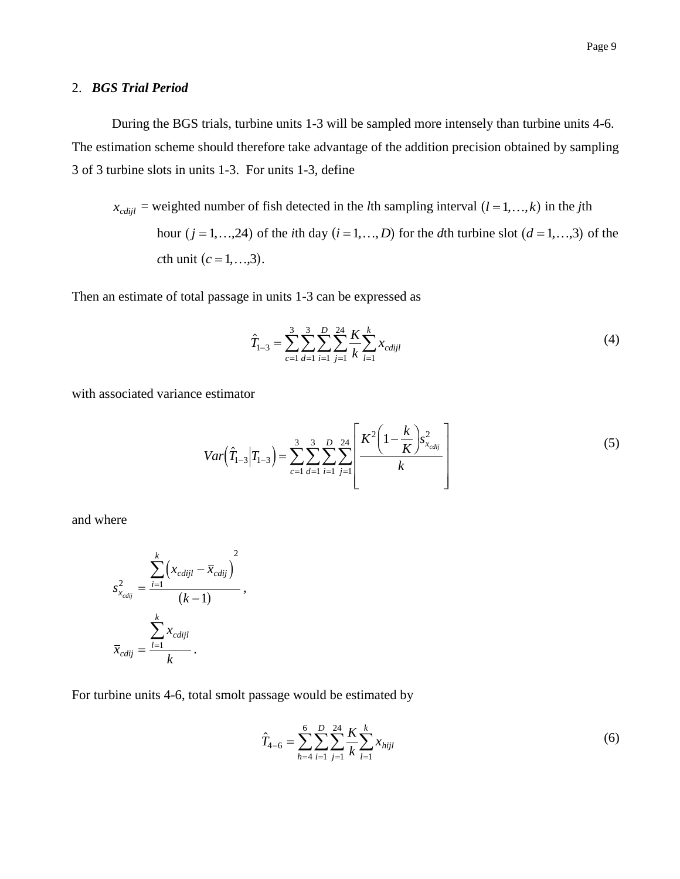#### 2. *BGS Trial Period*

During the BGS trials, turbine units 1-3 will be sampled more intensely than turbine units 4-6. The estimation scheme should therefore take advantage of the addition precision obtained by sampling 3 of 3 turbine slots in units 1-3. For units 1-3, define

 $x_{\text{cndijl}}$  = weighted number of fish detected in the *l*th sampling interval  $(l = 1, ..., k)$  in the *j*th hour  $(j = 1, ..., 24)$  of the *i*th day  $(i = 1, ..., D)$  for the *d*th turbine slot  $(d = 1, ..., 3)$  of the *c*th unit (*c* = 1, ..., 3).

Then an estimate of total passage in units 1-3 can be expressed as

$$
\hat{T}_{1-3} = \sum_{c=1}^{3} \sum_{d=1}^{3} \sum_{i=1}^{D} \sum_{j=1}^{24} \frac{K}{k} \sum_{l=1}^{k} x_{cdijl}
$$
(4)

with associated variance estimator

$$
Var\left(\hat{T}_{1-3}|T_{1-3}\right) = \sum_{c=1}^{3} \sum_{d=1}^{3} \sum_{i=1}^{D} \sum_{j=1}^{24} \left[ \frac{K^2 \left(1 - \frac{k}{K}\right) s_{x_{cdij}}^2}{k} \right]
$$
(5)

and where

$$
s_{x_{cdij}}^2 = \frac{\sum_{i=1}^k (x_{cdijl} - \overline{x}_{cdij})^2}{(k-1)},
$$
  

$$
\overline{x}_{cdij} = \frac{\sum_{l=1}^k x_{cdijl}}{k}.
$$

For turbine units 4-6, total smolt passage would be estimated by

$$
\hat{T}_{4-6} = \sum_{h=4}^{6} \sum_{i=1}^{D} \sum_{j=1}^{24} \frac{K}{k} \sum_{l=1}^{k} x_{hijl}
$$
\n(6)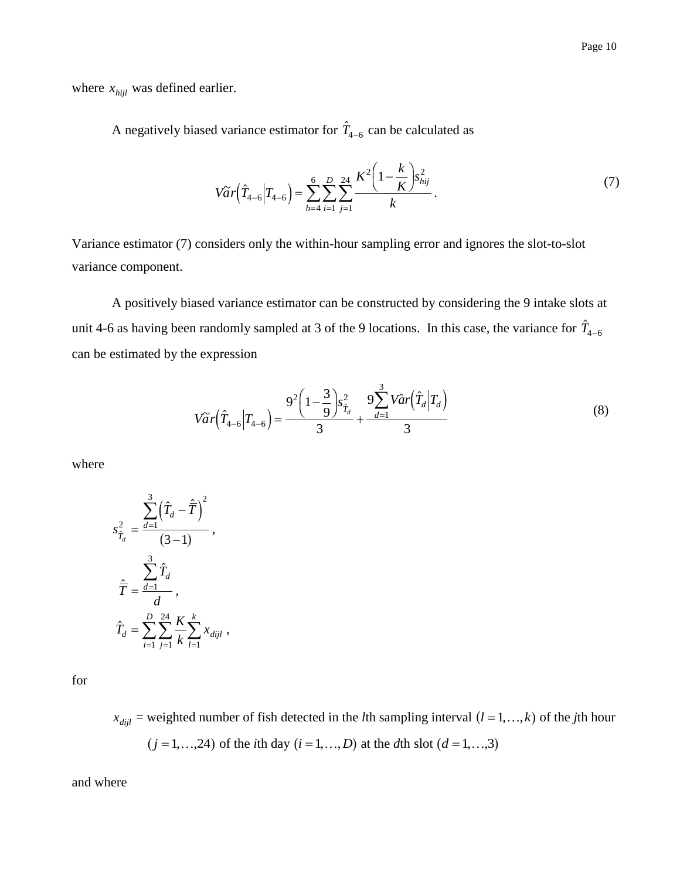where  $x_{hijl}$  was defined earlier.

A negatively biased variance estimator for  $\hat{T}_{4-6}$  can be calculated as

$$
V\widetilde{a}r(\hat{T}_{4-6}|T_{4-6}) = \sum_{h=4}^{6} \sum_{i=1}^{D} \sum_{j=1}^{24} \frac{K^2\left(1 - \frac{k}{K}\right) s_{hij}^2}{k}.
$$
\n(7)

Variance estimator (7) considers only the within-hour sampling error and ignores the slot-to-slot variance component.

A positively biased variance estimator can be constructed by considering the 9 intake slots at unit 4-6 as having been randomly sampled at 3 of the 9 locations. In this case, the variance for  $\hat{T}_{4-6}$ can be estimated by the expression

$$
V\widetilde{a}r(\hat{T}_{4-6}|T_{4-6}) = \frac{9^2\left(1-\frac{3}{9}\right)s_{\hat{T}_d}^2}{3} + \frac{9\sum_{d=1}^3 V\hat{a}r(\hat{T}_d|T_d)}{3} \tag{8}
$$

where

$$
s_{\hat{T}_d}^2 = \frac{\sum_{d=1}^3 (\hat{T}_d - \hat{\overline{T}})^2}{(3-1)},
$$
  

$$
\hat{\overline{T}} = \frac{\sum_{d=1}^3 \hat{T}_d}{d},
$$
  

$$
\hat{T}_d = \sum_{i=1}^D \sum_{j=1}^{24} \frac{K}{k} \sum_{l=1}^k x_{dijl},
$$

for

 $x_{dijl}$  = weighted number of fish detected in the *l*th sampling interval  $(l = 1, ..., k)$  of the *j*th hour  $(j = 1, ..., 24)$  of the *i*th day  $(i = 1, ..., D)$  at the *d*th slot  $(d = 1, ..., 3)$ 

and where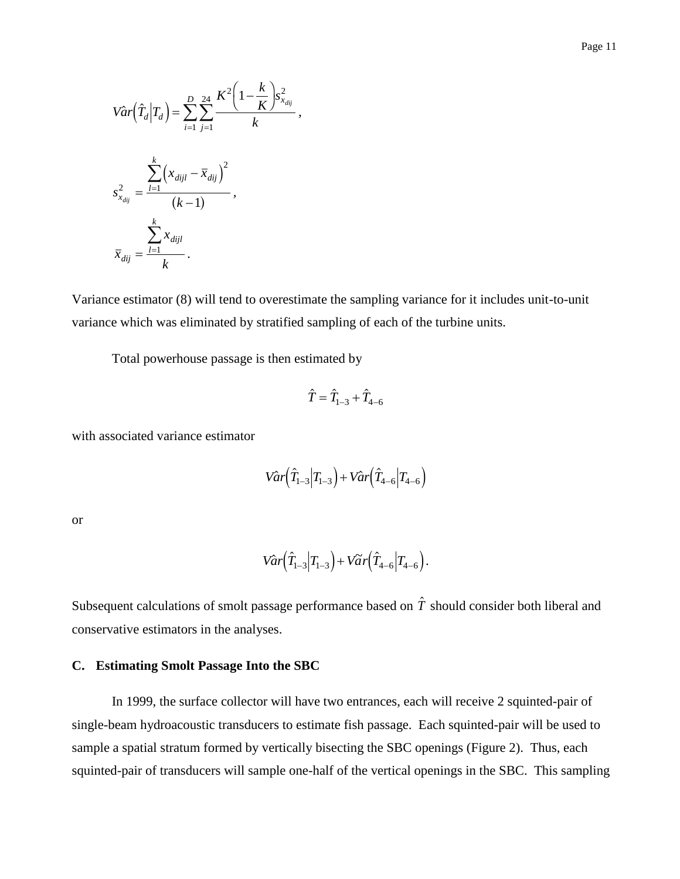$$
\hat{Var}\left(\hat{T}_d|T_d\right) = \sum_{i=1}^{D} \sum_{j=1}^{24} \frac{K^2 \left(1 - \frac{k}{K}\right) s_{x_{dij}}^2}{k},
$$

$$
s_{x_{dij}}^2 = \frac{\sum_{l=1}^{k} \left(x_{dijl} - \bar{x}_{dij}\right)^2}{(k-1)},
$$

$$
\bar{x}_{dij} = \frac{\sum_{l=1}^{k} x_{dijl}}{k}.
$$

Variance estimator (8) will tend to overestimate the sampling variance for it includes unit-to-unit variance which was eliminated by stratified sampling of each of the turbine units.

Total powerhouse passage is then estimated by

$$
\hat{T}=\hat{T}_{1-3}+\hat{T}_{4-6}
$$

with associated variance estimator

$$
Var(\hat{T}_{1-3}|T_{1-3}) + Var(\hat{T}_{4-6}|T_{4-6})
$$

or

$$
Var(\hat{T}_{1-3}|T_{1-3}) + Var(\hat{T}_{4-6}|T_{4-6}).
$$

Subsequent calculations of smolt passage performance based on  $\hat{T}$  should consider both liberal and conservative estimators in the analyses.

#### **C. Estimating Smolt Passage Into the SBC**

In 1999, the surface collector will have two entrances, each will receive 2 squinted-pair of single-beam hydroacoustic transducers to estimate fish passage. Each squinted-pair will be used to sample a spatial stratum formed by vertically bisecting the SBC openings (Figure 2). Thus, each squinted-pair of transducers will sample one-half of the vertical openings in the SBC. This sampling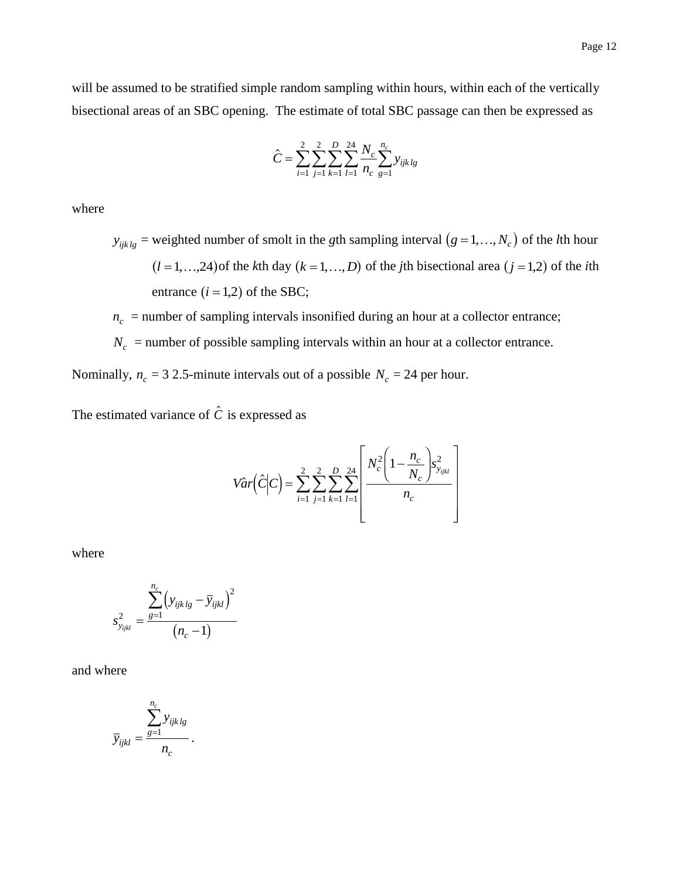will be assumed to be stratified simple random sampling within hours, within each of the vertically bisectional areas of an SBC opening. The estimate of total SBC passage can then be expressed as

$$
\hat{C} = \sum_{i=1}^{2} \sum_{j=1}^{2} \sum_{k=1}^{D} \sum_{l=1}^{24} \frac{N_c}{n_c} \sum_{g=1}^{n_c} y_{ijklg}
$$

where

 $y_{ijklg}$  = weighted number of smolt in the *g*th sampling interval  $(g = 1, ..., N_c)$  of the *l*th hour  $(l = 1, ..., 24)$  of the *k*th day  $(k = 1, ..., D)$  of the *j*th bisectional area  $(j = 1, 2)$  of the *i*th entrance  $(i = 1, 2)$  of the SBC;

 $n_c$  = number of sampling intervals insonified during an hour at a collector entrance;

 $N_c$  = number of possible sampling intervals within an hour at a collector entrance.

Nominally,  $n_c = 32.5$ -minute intervals out of a possible  $N_c = 24$  per hour.

The estimated variance of  $\hat{c}$  is expressed as

$$
Var\left(\hat{C}\Big|C\right) = \sum_{i=1}^{2} \sum_{j=1}^{2} \sum_{k=1}^{D} \sum_{l=1}^{24} \left[ \frac{N_c^2 \left(1 - \frac{n_c}{N_c}\right) s_{y_{ijkl}}^2}{n_c} \right]
$$

where

$$
s_{y_{ijkl}}^2 = \frac{\sum_{g=1}^{n_c} (y_{ijklg} - \overline{y}_{ijkl})^2}{(n_c - 1)}
$$

and where

$$
\overline{y}_{ijkl} = \frac{\sum_{g=1}^{n_c} y_{ijklg}}{n_c}.
$$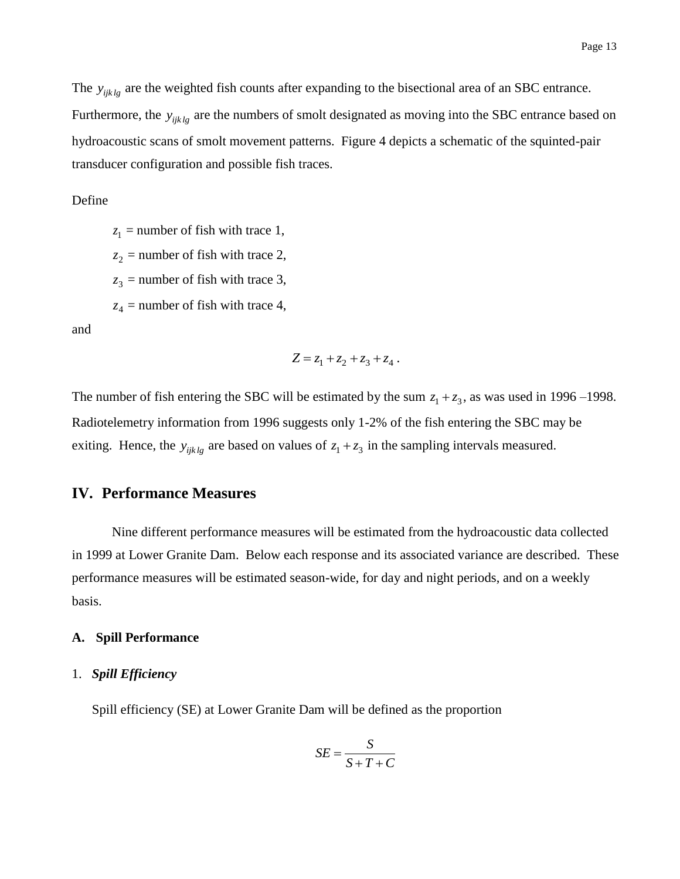The  $y_{ijk\,lg}$  are the weighted fish counts after expanding to the bisectional area of an SBC entrance. Furthermore, the  $y_{ijk\,lg}$  are the numbers of smolt designated as moving into the SBC entrance based on hydroacoustic scans of smolt movement patterns. Figure 4 depicts a schematic of the squinted-pair transducer configuration and possible fish traces.

#### Define

 $z_1$  = number of fish with trace 1,  $z_2$  = number of fish with trace 2,  $z_3$  = number of fish with trace 3,  $z_4$  = number of fish with trace 4,

and

$$
Z = z_1 + z_2 + z_3 + z_4.
$$

The number of fish entering the SBC will be estimated by the sum  $z_1 + z_3$ , as was used in 1996–1998. Radiotelemetry information from 1996 suggests only 1-2% of the fish entering the SBC may be exiting. Hence, the  $y_{ijk\lg}$  are based on values of  $z_1 + z_3$  in the sampling intervals measured.

#### **IV. Performance Measures**

Nine different performance measures will be estimated from the hydroacoustic data collected in 1999 at Lower Granite Dam. Below each response and its associated variance are described. These performance measures will be estimated season-wide, for day and night periods, and on a weekly basis.

#### **A. Spill Performance**

#### 1. *Spill Efficiency*

Spill efficiency (SE) at Lower Granite Dam will be defined as the proportion

$$
SE = \frac{S}{S + T + C}
$$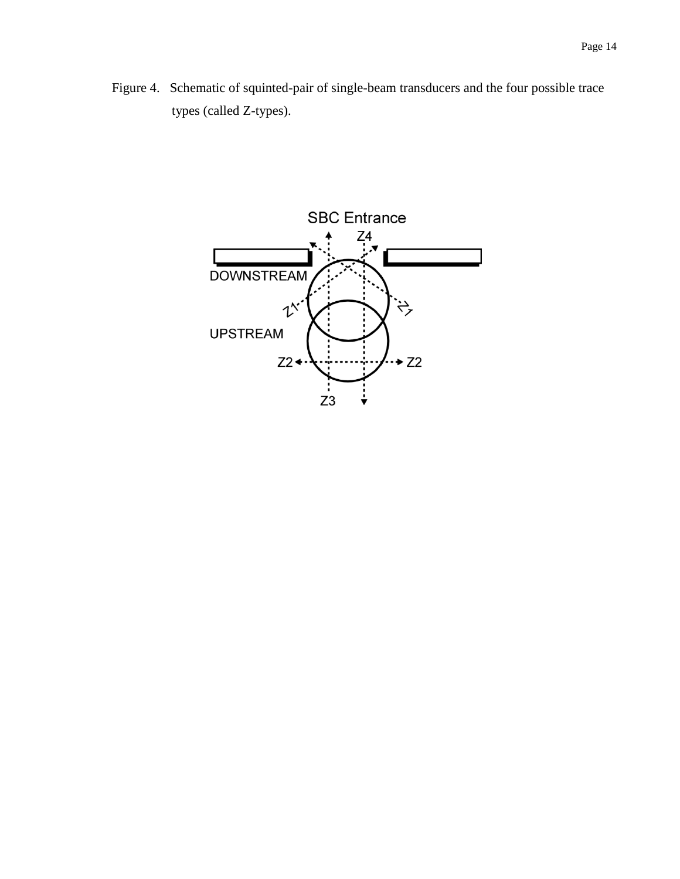Figure 4. Schematic of squinted-pair of single-beam transducers and the four possible trace types (called Z-types).

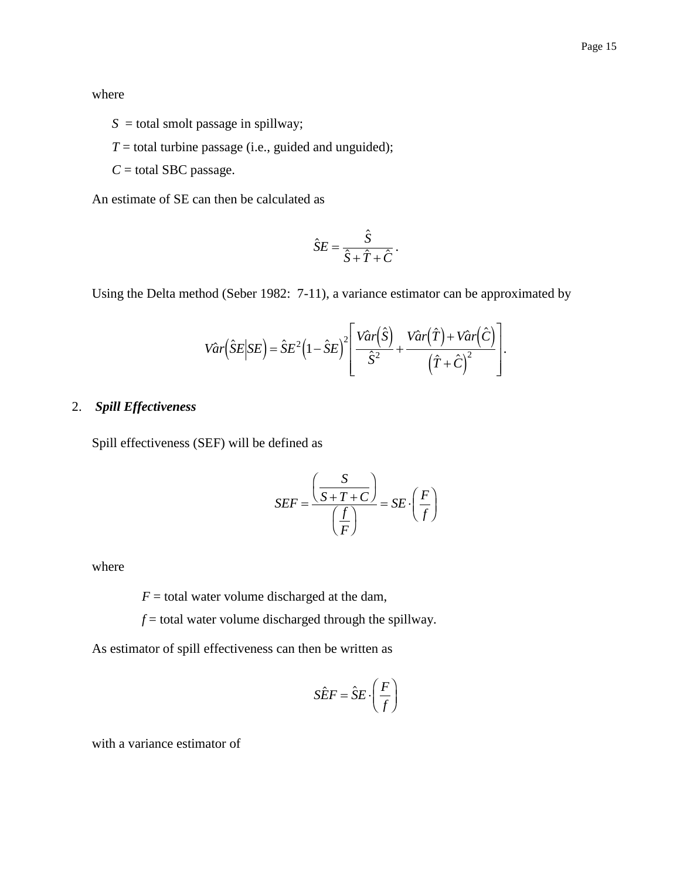where

 $S =$  total smolt passage in spillway;

 $T =$  total turbine passage (i.e., guided and unguided);

 $C =$  total SBC passage.

An estimate of SE can then be calculated as

$$
\hat{S}E = \frac{\hat{S}}{\hat{S} + \hat{T} + \hat{C}}.
$$

Using the Delta method (Seber 1982: 7-11), a variance estimator can be approximated by

$$
Var(\hat{S}E|SE) = \hat{S}E^{2}(1-\hat{S}E)^{2}\left[\frac{Var(\hat{S})}{\hat{S}^{2}} + \frac{Var(\hat{T}) + Var(\hat{C})}{(\hat{T} + \hat{C})^{2}}\right].
$$

### 2. *Spill Effectiveness*

Spill effectiveness (SEF) will be defined as

$$
SEF = \frac{\left(\frac{S}{S+T+C}\right)}{\left(\frac{f}{F}\right)} = SE \cdot \left(\frac{F}{f}\right)
$$

where

 $F =$  total water volume discharged at the dam,

 $f$  = total water volume discharged through the spillway.

As estimator of spill effectiveness can then be written as

$$
\hat{SEF} = \hat{S}E \cdot \left(\frac{F}{f}\right)
$$

 $\lambda$ 

with a variance estimator of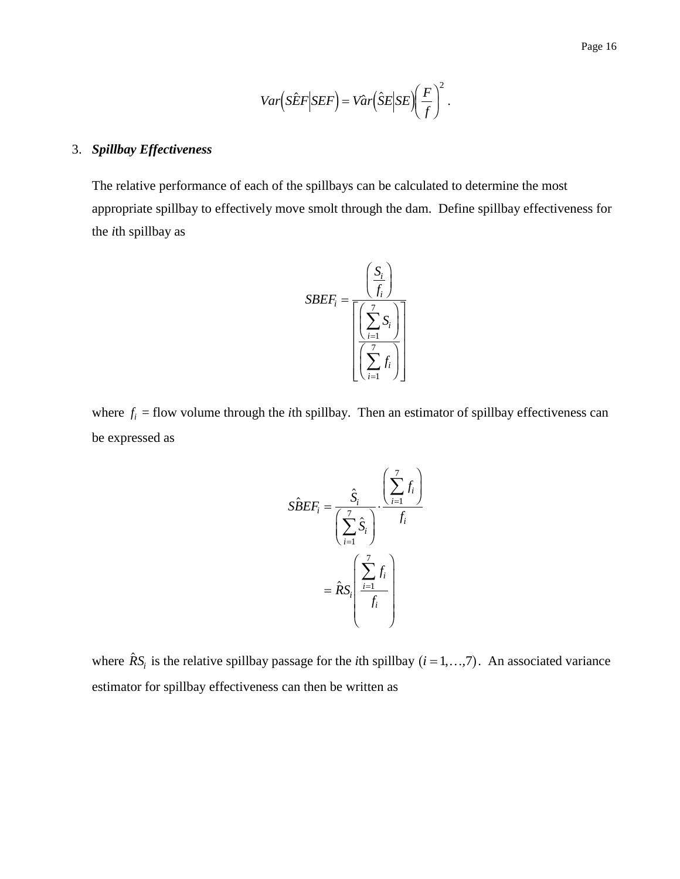$$
Var(S\hat{E}F|SEF) = Var(\hat{S}E|SE)\left(\frac{F}{f}\right)^2.
$$

#### 3. *Spillbay Effectiveness*

The relative performance of each of the spillbays can be calculated to determine the most appropriate spillbay to effectively move smolt through the dam. Define spillbay effectiveness for the *i*th spillbay as



where  $f_i$  = flow volume through the *i*th spillbay. Then an estimator of spillbay effectiveness can be expressed as

$$
\hat{SBEF_i} = \frac{\hat{S}_i}{\left(\sum_{i=1}^{7} \hat{S}_i\right)} \cdot \frac{\left(\sum_{i=1}^{7} f_i\right)}{f_i}
$$

$$
= \hat{R}S_i \left(\frac{\sum_{i=1}^{7} f_i}{f_i}\right)
$$

where  $\hat{R}S_i$  is the relative spillbay passage for the *i*th spillbay  $(i = 1, ..., 7)$ . An associated variance estimator for spillbay effectiveness can then be written as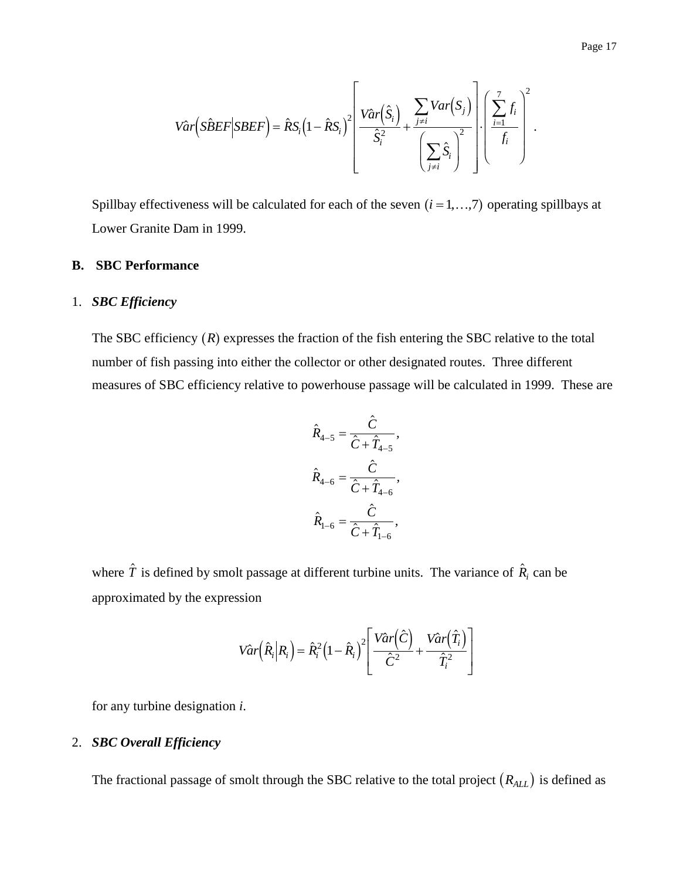$$
Var(S\hat{B}EF|SBEF) = \hat{R}S_i \left(1 - \hat{R}S_i\right)^2 \left[\frac{Var(\hat{S}_i)}{\hat{S}_i^2} + \frac{\sum_{j \neq i}Var(S_j)}{\left(\sum_{j \neq i} \hat{S}_i\right)^2}\right] \left(\frac{\sum_{i=1}^7 f_i}{f_i}\right)^2.
$$

Spillbay effectiveness will be calculated for each of the seven  $(i = 1, ..., 7)$  operating spillbays at Lower Granite Dam in 1999.

#### **B. SBC Performance**

#### 1. *SBC Efficiency*

The SBC efficiency  $(R)$  expresses the fraction of the fish entering the SBC relative to the total number of fish passing into either the collector or other designated routes. Three different measures of SBC efficiency relative to powerhouse passage will be calculated in 1999. These are

$$
\hat{R}_{4-5} = \frac{\hat{C}}{\hat{C} + \hat{T}_{4-5}},
$$
\n
$$
\hat{R}_{4-6} = \frac{\hat{C}}{\hat{C} + \hat{T}_{4-6}},
$$
\n
$$
\hat{R}_{1-6} = \frac{\hat{C}}{\hat{C} + \hat{T}_{1-6}},
$$

where  $\hat{T}$  is defined by smolt passage at different turbine units. The variance of  $\hat{R}_i$  can be approximated by the expression

$$
Var\left(\hat{R}_i|R_i\right) = \hat{R}_i^2 \left(1 - \hat{R}_i\right)^2 \left[\frac{Var\left(\hat{C}\right)}{\hat{C}^2} + \frac{Var\left(\hat{T}_i\right)}{\hat{T}_i^2}\right]
$$

for any turbine designation *i*.

#### 2. *SBC Overall Efficiency*

The fractional passage of smolt through the SBC relative to the total project  $(R_{ALL})$  is defined as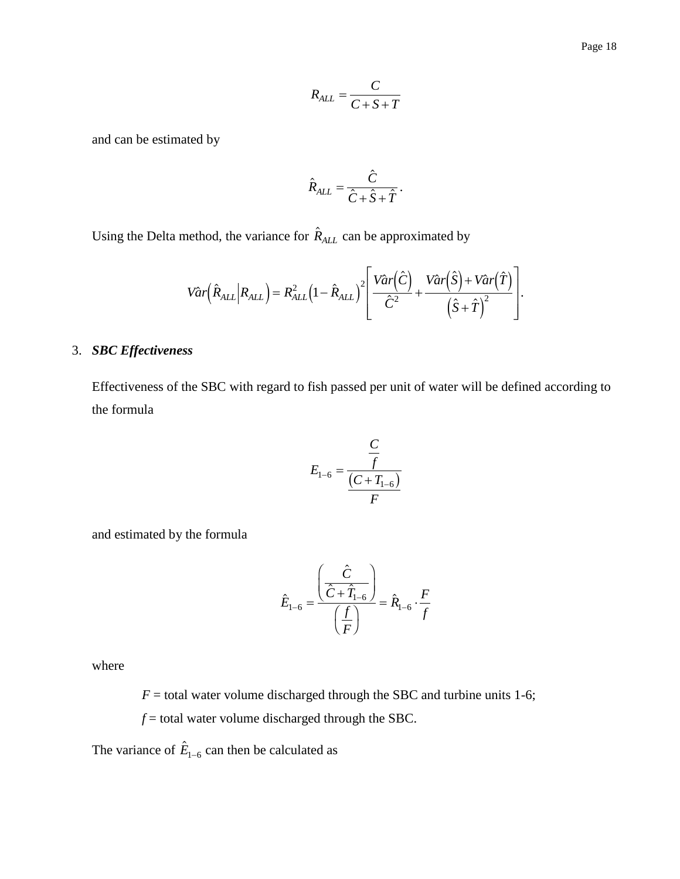$$
R_{ALL} = \frac{C}{C + S + T}
$$

and can be estimated by

$$
\hat{R}_{ALL} = \frac{\hat{C}}{\hat{C} + \hat{S} + \hat{T}}.
$$

Using the Delta method, the variance for  $\hat{R}_{ALL}$  can be approximated by

$$
V\hat{a}r(\hat{R}_{ALL}|R_{ALL}) = R_{ALL}^{2}(1-\hat{R}_{ALL})^{2} \left[ \frac{V\hat{a}r(\hat{C})}{\hat{C}^{2}} + \frac{V\hat{a}r(\hat{S}) + V\hat{a}r(\hat{T})}{(\hat{S} + \hat{T})^{2}} \right].
$$

### 3. *SBC Effectiveness*

Effectiveness of the SBC with regard to fish passed per unit of water will be defined according to the formula

$$
E_{1-6} = \frac{\frac{C}{f}}{\frac{(C+T_{1-6})}{F}}
$$

and estimated by the formula

$$
\hat{E}_{1-6} = \frac{\left(\frac{\hat{C}}{\hat{C} + \hat{T}_{1-6}}\right)}{\left(\frac{f}{F}\right)} = \hat{R}_{1-6} \cdot \frac{F}{f}
$$

where

 $F =$  total water volume discharged through the SBC and turbine units 1-6;

 $f$  = total water volume discharged through the SBC.

The variance of  $\hat{E}_{1-6}$  can then be calculated as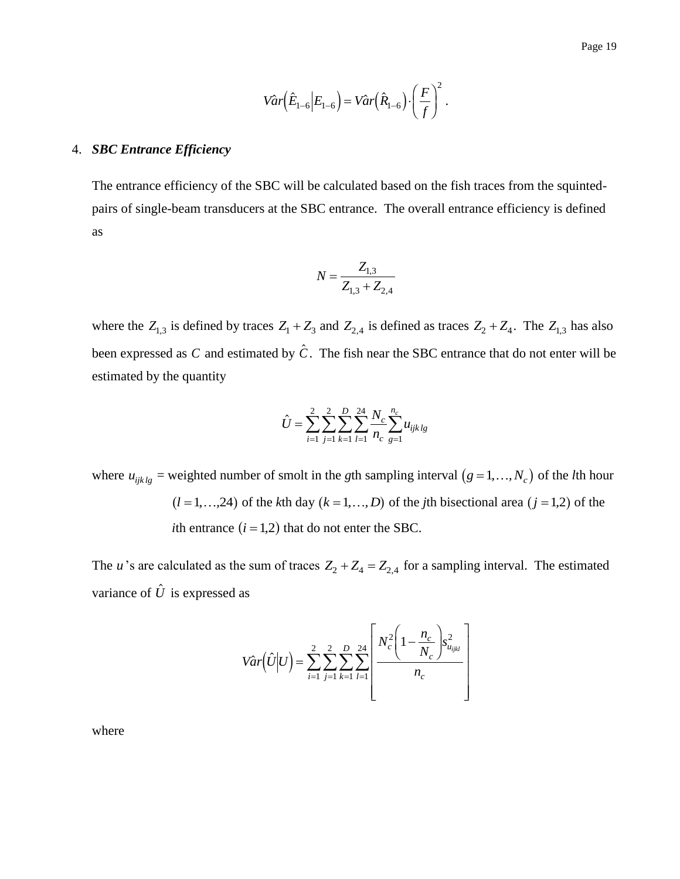$$
Var(\hat{E}_{1-6}|E_{1-6}) = Var(\hat{R}_{1-6}) \cdot \left(\frac{F}{f}\right)^2.
$$

#### 4. *SBC Entrance Efficiency*

The entrance efficiency of the SBC will be calculated based on the fish traces from the squintedpairs of single-beam transducers at the SBC entrance. The overall entrance efficiency is defined as

$$
N = \frac{Z_{1,3}}{Z_{1,3} + Z_{2,4}}
$$

where the  $Z_{1,3}$  is defined by traces  $Z_1 + Z_3$  and  $Z_{2,4}$  is defined as traces  $Z_2 + Z_4$ . The  $Z_{1,3}$  has also been expressed as C and estimated by  $\hat{C}$ . The fish near the SBC entrance that do not enter will be estimated by the quantity

$$
\hat{U} = \sum_{i=1}^{2} \sum_{j=1}^{2} \sum_{k=1}^{D} \sum_{l=1}^{24} \frac{N_c}{n_c} \sum_{g=1}^{n_c} u_{ijklg}
$$

where  $u_{ijk\,lg}$  = weighted number of smolt in the *g*th sampling interval  $(g = 1, ..., N_c)$  of the *l*th hour  $(l = 1, ..., 24)$  of the *k*th day  $(k = 1, ..., D)$  of the *j*th bisectional area  $(j = 1, 2)$  of the *i*th entrance  $(i = 1, 2)$  that do not enter the SBC.

The *u*'s are calculated as the sum of traces  $Z_2 + Z_4 = Z_{2,4}$  for a sampling interval. The estimated variance of  $\hat{U}$  is expressed as

$$
Var(\hat{U}|U) = \sum_{i=1}^{2} \sum_{j=1}^{2} \sum_{k=1}^{D} \sum_{l=1}^{24} \left[ \frac{N_c^2 \left(1 - \frac{n_c}{N_c}\right) s_{u_{ijkl}}^2}{n_c} \right]
$$

where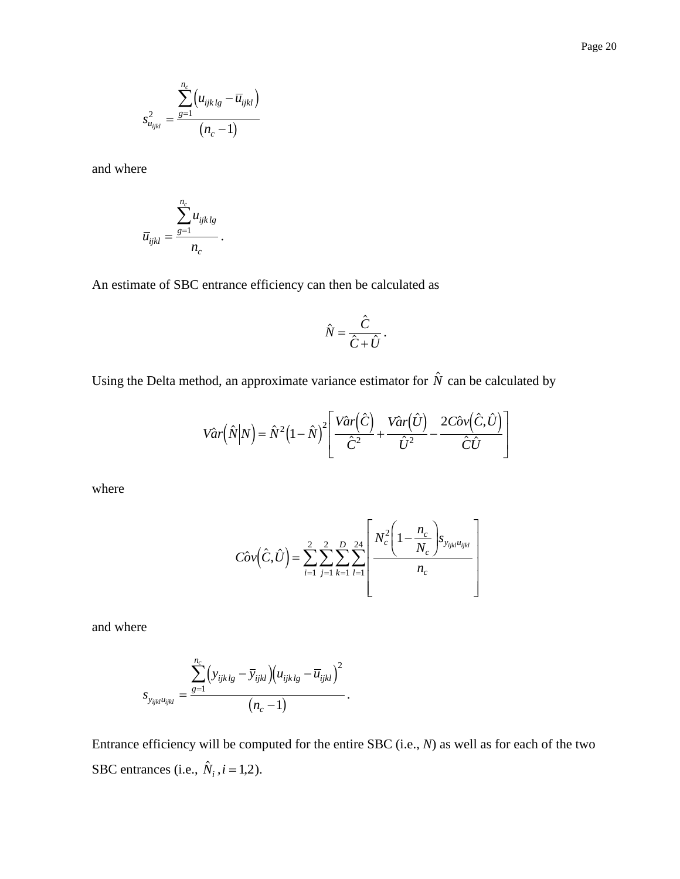$$
s_{u_{ijkl}}^2 = \frac{\sum_{g=1}^{n_c} (u_{ijk\,lg} - \overline{u}_{ijkl})}{(n_c - 1)}
$$

and where

$$
\overline{u}_{ijkl} = \frac{\sum_{g=1}^{n_c} u_{ijk\,lg}}{n_c}
$$

*.*

An estimate of SBC entrance efficiency can then be calculated as

$$
\hat{N} = \frac{\hat{C}}{\hat{C} + \hat{U}}.
$$

Using the Delta method, an approximate variance estimator for  $\hat{N}$  can be calculated by

$$
Var(\hat{N}|N) = \hat{N}^{2}(1-\hat{N})^{2} \left[ \frac{Var(\hat{C})}{\hat{C}^{2}} + \frac{Var(\hat{U})}{\hat{U}^{2}} - \frac{2C\hat{O}v(\hat{C},\hat{U})}{\hat{C}\hat{U}} \right]
$$

where

$$
C\hat{o}\nu(\hat{C},\hat{U}) = \sum_{i=1}^{2} \sum_{j=1}^{2} \sum_{k=1}^{D} \sum_{l=1}^{24} \left[ \frac{N_c^2 \left(1 - \frac{n_c}{N_c}\right) s_{y_{ijkl}u_{ijkl}}}{n_c} \right]
$$

and where

$$
s_{y_{ijkl}u_{ijkl}} = \frac{\sum_{g=1}^{n_c} (y_{ijklg} - \overline{y}_{ijkl}) (u_{ijklg} - \overline{u}_{ijkl})^2}{(n_c - 1)}.
$$

Entrance efficiency will be computed for the entire SBC (i.e., *N*) as well as for each of the two SBC entrances (i.e.,  $\hat{N}_i$ ,  $i = 1, 2$ ).